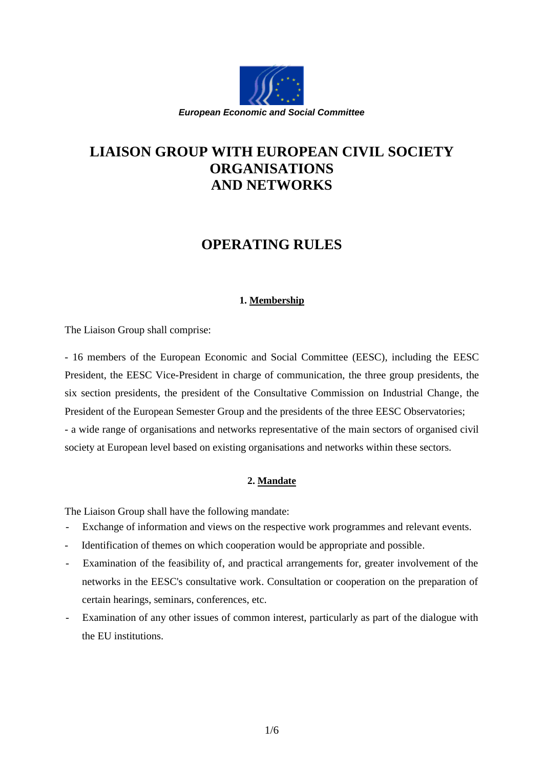

# **LIAISON GROUP WITH EUROPEAN CIVIL SOCIETY ORGANISATIONS AND NETWORKS**

# **OPERATING RULES**

# **1. Membership**

The Liaison Group shall comprise:

- 16 members of the European Economic and Social Committee (EESC), including the EESC President, the EESC Vice-President in charge of communication, the three group presidents, the six section presidents, the president of the Consultative Commission on Industrial Change, the President of the European Semester Group and the presidents of the three EESC Observatories; - a wide range of organisations and networks representative of the main sectors of organised civil society at European level based on existing organisations and networks within these sectors.

# **2. Mandate**

The Liaison Group shall have the following mandate:

- Exchange of information and views on the respective work programmes and relevant events.
- Identification of themes on which cooperation would be appropriate and possible.
- Examination of the feasibility of, and practical arrangements for, greater involvement of the networks in the EESC's consultative work. Consultation or cooperation on the preparation of certain hearings, seminars, conferences, etc.
- Examination of any other issues of common interest, particularly as part of the dialogue with the EU institutions.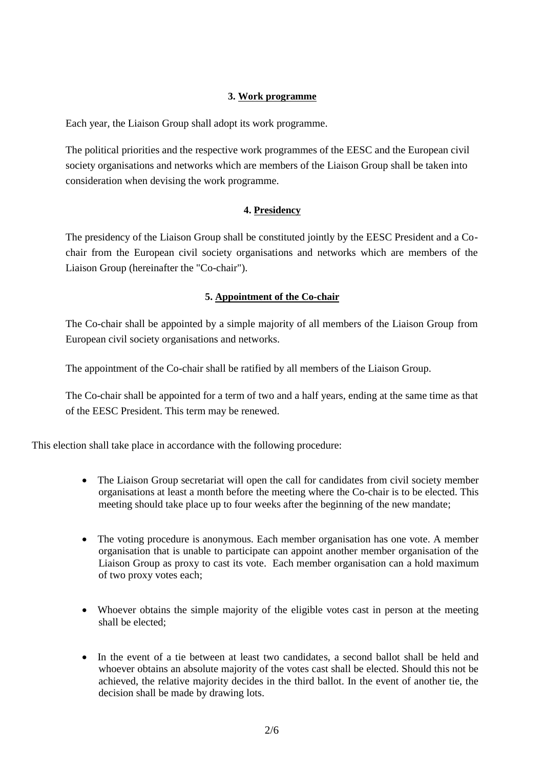#### **3. Work programme**

Each year, the Liaison Group shall adopt its work programme.

The political priorities and the respective work programmes of the EESC and the European civil society organisations and networks which are members of the Liaison Group shall be taken into consideration when devising the work programme.

## **4. Presidency**

The presidency of the Liaison Group shall be constituted jointly by the EESC President and a Cochair from the European civil society organisations and networks which are members of the Liaison Group (hereinafter the "Co-chair").

# **5. Appointment of the Co-chair**

The Co-chair shall be appointed by a simple majority of all members of the Liaison Group from European civil society organisations and networks.

The appointment of the Co-chair shall be ratified by all members of the Liaison Group.

The Co-chair shall be appointed for a term of two and a half years, ending at the same time as that of the EESC President. This term may be renewed.

This election shall take place in accordance with the following procedure:

- The Liaison Group secretariat will open the call for candidates from civil society member organisations at least a month before the meeting where the Co-chair is to be elected. This meeting should take place up to four weeks after the beginning of the new mandate;
- The voting procedure is anonymous. Each member organisation has one vote. A member organisation that is unable to participate can appoint another member organisation of the Liaison Group as proxy to cast its vote. Each member organisation can a hold maximum of two proxy votes each;
- Whoever obtains the simple majority of the eligible votes cast in person at the meeting shall be elected;
- In the event of a tie between at least two candidates, a second ballot shall be held and whoever obtains an absolute majority of the votes cast shall be elected. Should this not be achieved, the relative majority decides in the third ballot. In the event of another tie, the decision shall be made by drawing lots.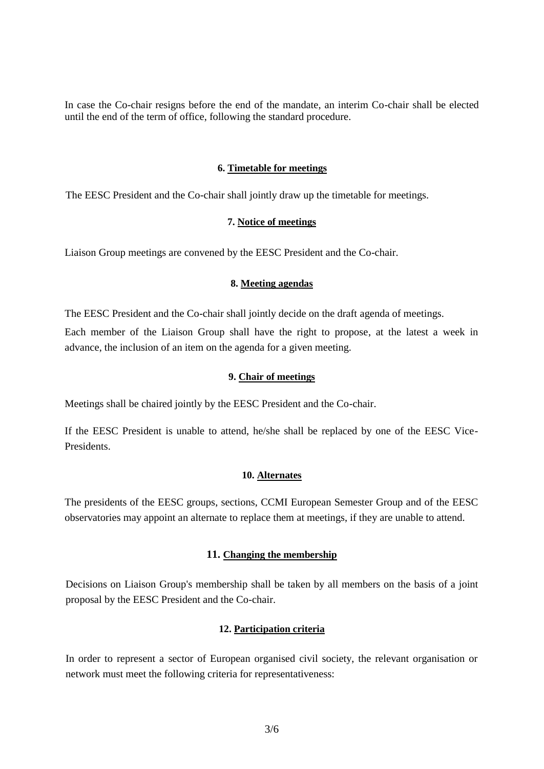In case the Co-chair resigns before the end of the mandate, an interim Co-chair shall be elected until the end of the term of office, following the standard procedure.

#### **6. Timetable for meetings**

The EESC President and the Co-chair shall jointly draw up the timetable for meetings.

#### **7. Notice of meetings**

Liaison Group meetings are convened by the EESC President and the Co-chair.

#### **8. Meeting agendas**

The EESC President and the Co-chair shall jointly decide on the draft agenda of meetings. Each member of the Liaison Group shall have the right to propose, at the latest a week in advance, the inclusion of an item on the agenda for a given meeting.

#### **9. Chair of meetings**

Meetings shall be chaired jointly by the EESC President and the Co-chair.

If the EESC President is unable to attend, he/she shall be replaced by one of the EESC Vice-Presidents.

#### **10. Alternates**

The presidents of the EESC groups, sections, CCMI European Semester Group and of the EESC observatories may appoint an alternate to replace them at meetings, if they are unable to attend.

## **11. Changing the membership**

Decisions on Liaison Group's membership shall be taken by all members on the basis of a joint proposal by the EESC President and the Co-chair.

## **12. Participation criteria**

In order to represent a sector of European organised civil society, the relevant organisation or network must meet the following criteria for representativeness: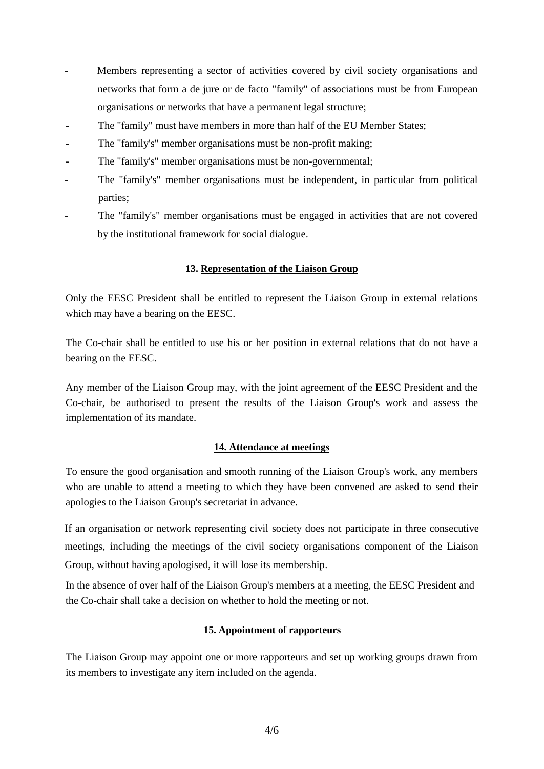- Members representing a sector of activities covered by civil society organisations and networks that form a de jure or de facto "family" of associations must be from European organisations or networks that have a permanent legal structure;
- The "family" must have members in more than half of the EU Member States;
- The "family's" member organisations must be non-profit making;
- The "family's" member organisations must be non-governmental;
- The "family's" member organisations must be independent, in particular from political parties;
- The "family's" member organisations must be engaged in activities that are not covered by the institutional framework for social dialogue.

## **13. Representation of the Liaison Group**

Only the EESC President shall be entitled to represent the Liaison Group in external relations which may have a bearing on the EESC.

The Co-chair shall be entitled to use his or her position in external relations that do not have a bearing on the EESC.

Any member of the Liaison Group may, with the joint agreement of the EESC President and the Co-chair, be authorised to present the results of the Liaison Group's work and assess the implementation of its mandate.

## **14. Attendance at meetings**

To ensure the good organisation and smooth running of the Liaison Group's work, any members who are unable to attend a meeting to which they have been convened are asked to send their apologies to the Liaison Group's secretariat in advance.

If an organisation or network representing civil society does not participate in three consecutive meetings, including the meetings of the civil society organisations component of the Liaison Group, without having apologised, it will lose its membership.

In the absence of over half of the Liaison Group's members at a meeting, the EESC President and the Co-chair shall take a decision on whether to hold the meeting or not.

## **15. Appointment of rapporteurs**

The Liaison Group may appoint one or more rapporteurs and set up working groups drawn from its members to investigate any item included on the agenda.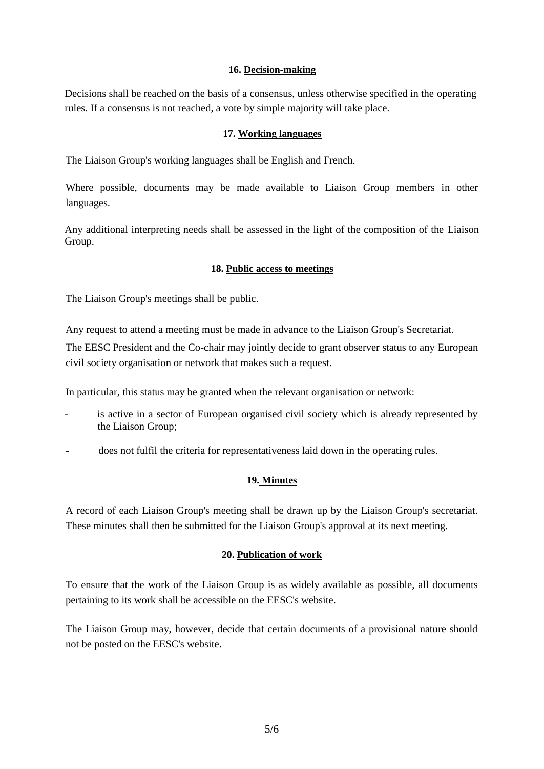#### **16. Decision-making**

Decisions shall be reached on the basis of a consensus, unless otherwise specified in the operating rules. If a consensus is not reached, a vote by simple majority will take place.

#### **17. Working languages**

The Liaison Group's working languages shall be English and French.

Where possible, documents may be made available to Liaison Group members in other languages.

Any additional interpreting needs shall be assessed in the light of the composition of the Liaison Group.

#### **18. Public access to meetings**

The Liaison Group's meetings shall be public.

Any request to attend a meeting must be made in advance to the Liaison Group's Secretariat.

The EESC President and the Co-chair may jointly decide to grant observer status to any European civil society organisation or network that makes such a request.

In particular, this status may be granted when the relevant organisation or network:

- is active in a sector of European organised civil society which is already represented by the Liaison Group;
- does not fulfil the criteria for representativeness laid down in the operating rules.

## **19. Minutes**

A record of each Liaison Group's meeting shall be drawn up by the Liaison Group's secretariat. These minutes shall then be submitted for the Liaison Group's approval at its next meeting.

## **20. Publication of work**

To ensure that the work of the Liaison Group is as widely available as possible, all documents pertaining to its work shall be accessible on the EESC's website.

The Liaison Group may, however, decide that certain documents of a provisional nature should not be posted on the EESC's website.